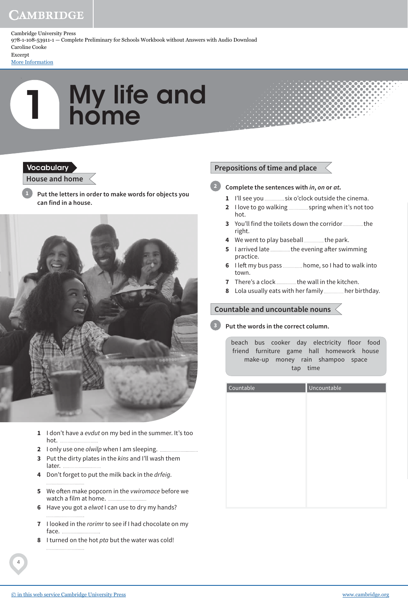## CAMBRIDGE

Cambridge University Press 978-1-108-53911-1 — Complete Preliminary for Schools Workbook without Answers with Audio Download Caroline Cooke Excerpt

[More Information](www.cambridge.org/9781108539111)

# 1 My life and home

#### **Vocabulary**

#### **House and home**

**Put the letters in order to make words for objects you can find in a house. 1**



- **1** I don't have a evdut on my bed in the summer. It's too hot.
- **2** I only use one olwilp when I am sleeping.
- **3** Put the dirty plates in the kins and I'll wash them later.
- **4** Don't forget to put the milk back in the drfeig.
- **5** We often make popcorn in the *vwiromace* before we watch a film at home.
- **6** Have you got a elwot I can use to dry my hands?
- **7** I looked in the rorimr to see if I had chocolate on my face.
- **8** I turned on the hot pta but the water was cold!

### **Prepositions of time and place**

- **Complete the sentences with in, on or at. 2**
	- **1** I'll see you *..............*... six o'clock outside the cinema.
	- **2** I love to go walking *summal* spring when it's not too hot.
	- **3** You'll find the toilets down the corridor ............... the right.
	- **4** We went to play baseball **manually** the park.
	- **5** I arrived late *maching* the evening after swimming practice.
	- **6** I left my bus pass ............... home, so I had to walk into town.
	- **7** There's a clock ................ the wall in the kitchen.
	- **8** Lola usually eats with her family **hereomic birthday**.

#### **Countable and uncountable nouns**

#### **Put the words in the correct column. 3**

beach bus cooker day electricity floor food friend furniture game hall homework house make-up money rain shampoo space tap time

| Countable | Uncountable |
|-----------|-------------|
|           |             |
|           |             |
|           |             |
|           |             |
|           |             |
|           |             |
|           |             |
|           |             |
|           |             |
|           |             |
|           |             |

4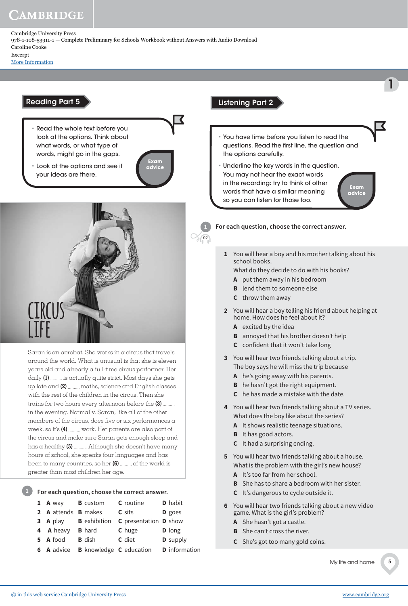Cambridge University Press 978-1-108-53911-1 — Complete Preliminary for Schools Workbook without Answers with Audio Download Caroline Cooke Excerpt

[More Information](www.cambridge.org/9781108539111)

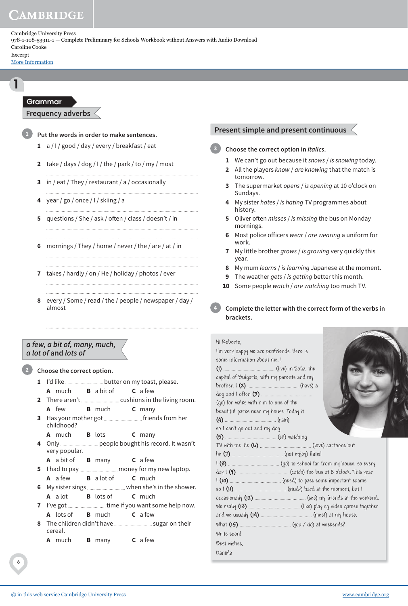## **AMBRIDGE**

Cambridge University Press 978-1-108-53911-1 — Complete Preliminary for Schools Workbook without Answers with Audio Download Caroline Cooke Excerpt

[More Information](www.cambridge.org/9781108539111)

#### Grammar

**Frequency adverbs**



1

**Put the words in order to make sentences.**

- **1** a / I / good / day / every / breakfast / eat
- **2** take / days / dog / I / the / park / to / my / most
- **3** in / eat / They / restaurant / a / occasionally
- **4** year / go / once / I / skiing / a
- **5** questions / She / ask / often / class / doesn't / in
- **6** mornings / They / home / never / the / are / at / in

- **7** takes / hardly / on / He / holiday / photos / ever
- **8** every / Some / read / the / people / newspaper / day / almost

#### **a few, a bit of, many, much, a lot of and lots of**

**Choose the correct option.**

**2**

- **1** I'd like **much the much state butter on my toast**, please. **A** much **B** a bit of **C** a few
- **2** There aren't <u>cust cushions</u> in the living room. **A** few **B** much **C** many
- **3** Has your mother got *multimarrows* friends from her childhood?
	- **A** much **B** lots **C** many
- **4** Only people bought his record. It wasn't very popular.
	- **A** a bit of **B** many **C** a few
- **5** I had to pay money for my new laptop. **A** a few **B** a lot of **C** much
- **6** My sister sings **where sheet** in the shower. **A** a lot **B** lots of **C** much
- **7** I've got *muse increase in time if you want some help now.* **A** lots of **B** much **C** a few
- **8** The children didn't have sugar on their cereal.
	- **A** much **B** many **C** a few

#### **Present simple and present continuous**

**Choose the correct option in italics. 3**

- **1** We can't go out because it snows / is snowing today.
- **2** All the players know / are knowing that the match is tomorrow.
- **3** The supermarket opens / is opening at 10 o'clock on Sundays.
- **4** My sister hates / is hating TV programmes about history.
- **5** Oliver often misses / is missing the bus on Monday mornings.
- **6** Most police officers wear / are wearing a uniform for work.
- **7** My little brother grows / is growing very quickly this year.
- **8** My mum learns / is learning Japanese at the moment.
- **9** The weather gets / is getting better this month.
- **10** Some people watch / are watching too much TV.

#### **Complete the letter with the correct form of the verbs in brackets. 4**

| Hi Roberto.<br>I'm very happy we are penfriends. Here is<br>some information about me. I<br>capital of Bulgaria, with my parents and my<br>(go) for walks with him to one of the<br>beautiful parks near my house. Today it<br>so I can't go out and my dog |  |  |
|-------------------------------------------------------------------------------------------------------------------------------------------------------------------------------------------------------------------------------------------------------------|--|--|
|                                                                                                                                                                                                                                                             |  |  |
|                                                                                                                                                                                                                                                             |  |  |
|                                                                                                                                                                                                                                                             |  |  |
|                                                                                                                                                                                                                                                             |  |  |
|                                                                                                                                                                                                                                                             |  |  |
|                                                                                                                                                                                                                                                             |  |  |
|                                                                                                                                                                                                                                                             |  |  |
|                                                                                                                                                                                                                                                             |  |  |
|                                                                                                                                                                                                                                                             |  |  |
|                                                                                                                                                                                                                                                             |  |  |
| Write soon!                                                                                                                                                                                                                                                 |  |  |
| Best wishes.                                                                                                                                                                                                                                                |  |  |
| Daniela                                                                                                                                                                                                                                                     |  |  |
|                                                                                                                                                                                                                                                             |  |  |